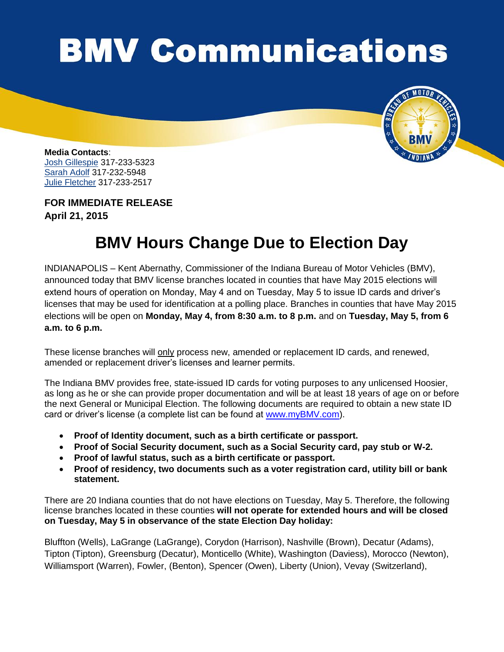## **BMV Communications**



**Media Contacts**: Josh Gillespie 317-233-5323 Sarah Adolf 317-232-5948 Julie Fletcher 317-233-2517

**FOR IMMEDIATE RELEASE April 21, 2015**

## **BMV Hours Change Due to Election Day**

INDIANAPOLIS – Kent Abernathy, Commissioner of the Indiana Bureau of Motor Vehicles (BMV), announced today that BMV license branches located in counties that have May 2015 elections will extend hours of operation on Monday, May 4 and on Tuesday, May 5 to issue ID cards and driver's licenses that may be used for identification at a polling place. Branches in counties that have May 2015 elections will be open on **Monday, May 4, from 8:30 a.m. to 8 p.m.** and on **Tuesday, May 5, from 6 a.m. to 6 p.m.** 

These license branches will only process new, amended or replacement ID cards, and renewed, amended or replacement driver's licenses and learner permits.

The Indiana BMV provides free, state-issued ID cards for voting purposes to any unlicensed Hoosier, as long as he or she can provide proper documentation and will be at least 18 years of age on or before the next General or Municipal Election. The following documents are required to obtain a new state ID card or driver's license (a complete list can be found at [www.myBMV.com\)](http://www.mybmv.com/).

- **Proof of Identity document, such as a birth certificate or passport.**
- **Proof of Social Security document, such as a Social Security card, pay stub or W-2.**
- **Proof of lawful status, such as a birth certificate or passport.**
- **Proof of residency, two documents such as a voter registration card, utility bill or bank statement.**

There are 20 Indiana counties that do not have elections on Tuesday, May 5. Therefore, the following license branches located in these counties **will not operate for extended hours and will be closed on Tuesday, May 5 in observance of the state Election Day holiday:**

Bluffton (Wells), LaGrange (LaGrange), Corydon (Harrison), Nashville (Brown), Decatur (Adams), Tipton (Tipton), Greensburg (Decatur), Monticello (White), Washington (Daviess), Morocco (Newton), Williamsport (Warren), Fowler, (Benton), Spencer (Owen), Liberty (Union), Vevay (Switzerland),